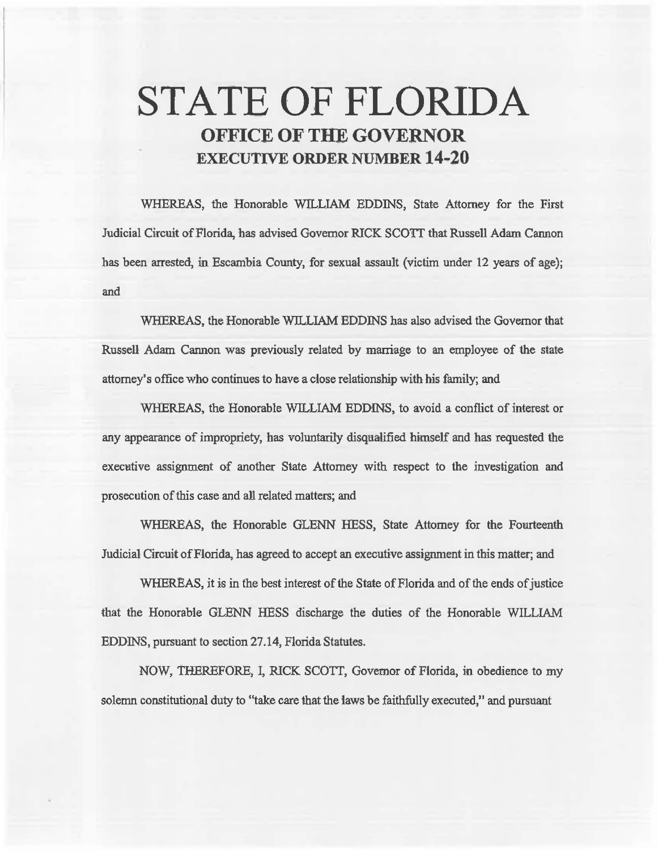# STATE OF FLORIDA OFFICE OF THE GOVERNOR EXECUTIVE ORDER NUMBER 14·20

WHEREAS, the Honorable WILLIAM EDDINS, State Attorney for the First Judicial Circuit of Florida, has advised Governor RICK SCOTI that Russell Adam Cannon has been arrested, in Escambia County, for sexual assault (victim under 12 years of age); and

WHEREAS, the Honorable WILLIAM EDDINS has also advised the Governor that Russell Adam Cannon was previously related by marriage to an employee of the state attorney's office who continues to have a close relationship with his family; and

WHEREAS, the Honorable WILLIAM EDDINS, to avoid a conflict of interest or any appearance of impropriety, has voluntarily disqualified himself and has requested the executive assignment of another State Attorney with respect to the investigation and prosecution of this case and all related matters; and

WHEREAS, the Honorable GLENN HESS, State Attorney for the Fourteenth Judicial Circuit of Florida, has agreed to accept an executive assignment in this matter; and

WHEREAS, it is in the best interest of the State of Florida and of the ends of justice that the Honorable GLENN HESS discharge the duties of the Honorable WILLIAM EDDINS, pursuant to section 27.14, Florida Statutes.

NOW, THEREFORE, I, RICK SCOIT, Governor of Florida, in obedience to my solemn constitutional duty to "take care that the laws be faithfully executed," and pursuant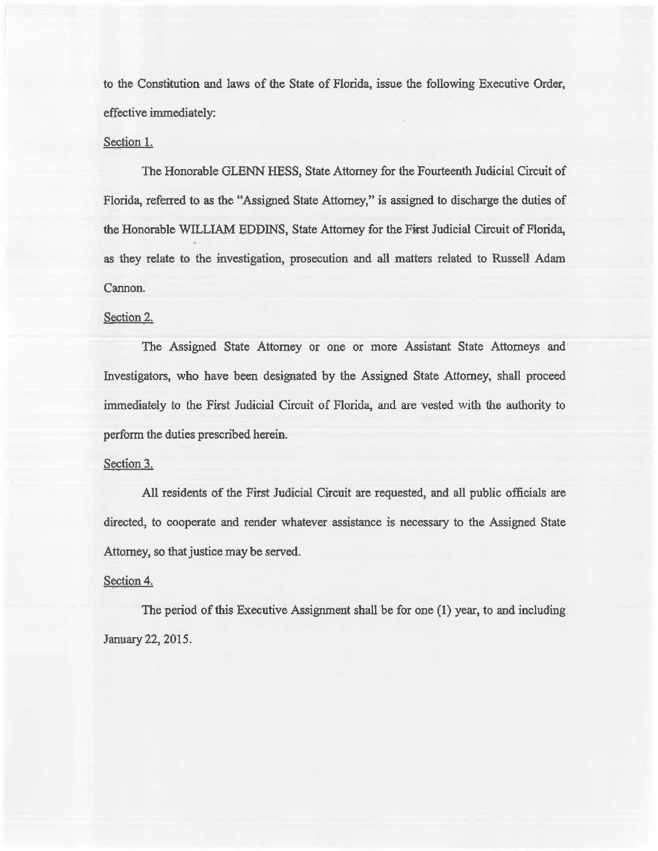to the Constitution and laws of the State of Florida, issue the following Executive Order, effective immediately:

#### Section 1.

The Honorable GLENN HESS, State Attorney for the Fourteenth Judicial Circuit of Florida, referred to as the "Assigned State Attorney," is assigned to discharge the duties of the Honorable WILLIAM EDDINS, State Attorney for the First Judicial Circuit of Florida, as they relate to the investigation, prosecution and ali matters related to Russell Adam Cannon.

## Section 2.

The Assigned State Attorney or one or more Assistant State Attorneys and Investigators, who have been designated by the Assigned State Attorney, shall proceed immediately to the First Judicial Circuit of Florida, and are vested witb the authority to perform the duties prescribed herein.

## Section 3.

All residents of the First Judicial Circuit are requested, and all public officials are directed, to cooperate and render whatever assistance is necessary to the Assigned State Attorney, so that justice may be served.

#### Section 4.

The period of this Executive Assignment shall be for one (1) year, to and including January22, 2015.